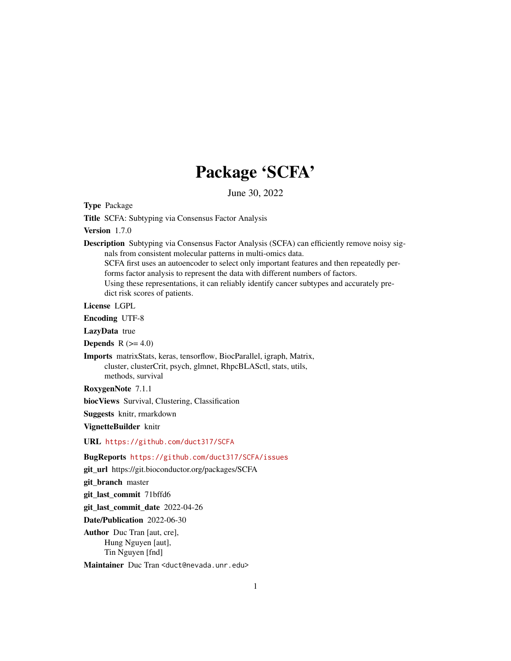# Package 'SCFA'

June 30, 2022

Type Package

Title SCFA: Subtyping via Consensus Factor Analysis

Version 1.7.0

Description Subtyping via Consensus Factor Analysis (SCFA) can efficiently remove noisy signals from consistent molecular patterns in multi-omics data. SCFA first uses an autoencoder to select only important features and then repeatedly performs factor analysis to represent the data with different numbers of factors.

Using these representations, it can reliably identify cancer subtypes and accurately predict risk scores of patients.

License LGPL

Encoding UTF-8

LazyData true

Depends  $R$  ( $>= 4.0$ )

Imports matrixStats, keras, tensorflow, BiocParallel, igraph, Matrix, cluster, clusterCrit, psych, glmnet, RhpcBLASctl, stats, utils, methods, survival

RoxygenNote 7.1.1

biocViews Survival, Clustering, Classification

Suggests knitr, rmarkdown

VignetteBuilder knitr

URL <https://github.com/duct317/SCFA>

BugReports <https://github.com/duct317/SCFA/issues>

git\_url https://git.bioconductor.org/packages/SCFA

git\_branch master

git\_last\_commit 71bffd6

git\_last\_commit\_date 2022-04-26

Date/Publication 2022-06-30

Author Duc Tran [aut, cre], Hung Nguyen [aut], Tin Nguyen [fnd]

Maintainer Duc Tran <duct@nevada.unr.edu>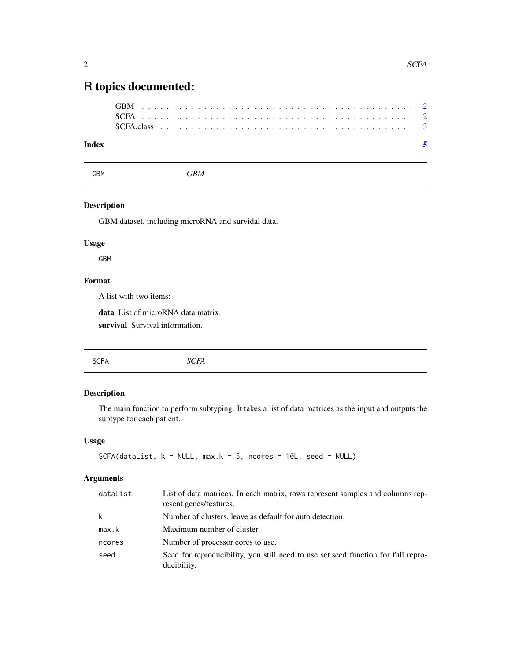# <span id="page-1-0"></span>R topics documented:

## **Index** [5](#page-4-0). The second state of the second state of the second state of the second state of the second state of the second state of the second state of the second state of the second state of the second state of the second

GBM *GBM*

## Description

GBM dataset, including microRNA and survidal data.

# Usage

GBM

# Format

A list with two items:

data List of microRNA data matrix.

survival Survival information.

# Description

The main function to perform subtyping. It takes a list of data matrices as the input and outputs the subtype for each patient.

### Usage

```
SCFA(dataList, k = NULL, max.k = 5, ncores = 10L, seed = NULL)
```
#### Arguments

| dataList | List of data matrices. In each matrix, rows represent samples and columns rep-<br>resent genes/features. |
|----------|----------------------------------------------------------------------------------------------------------|
| k        | Number of clusters, leave as default for auto detection.                                                 |
| max.k    | Maximum number of cluster                                                                                |
| ncores   | Number of processor cores to use.                                                                        |
| seed     | Seed for reproducibility, you still need to use set, seed function for full repro-<br>ducibility.        |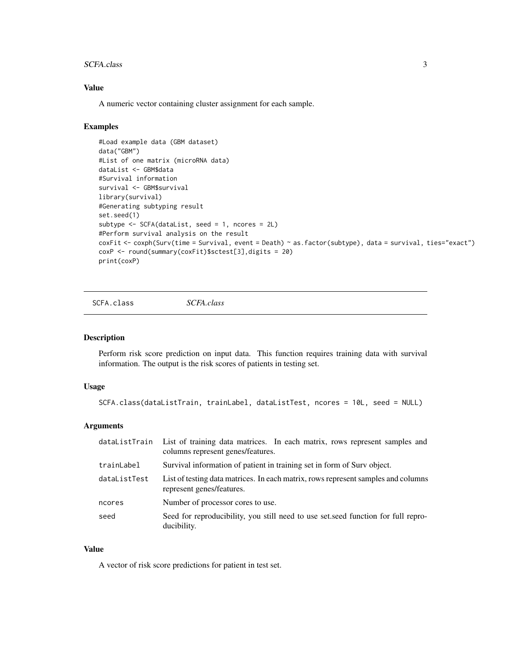#### <span id="page-2-0"></span>SCFA.class 3

#### Value

A numeric vector containing cluster assignment for each sample.

#### Examples

```
#Load example data (GBM dataset)
data("GBM")
#List of one matrix (microRNA data)
dataList <- GBM$data
#Survival information
survival <- GBM$survival
library(survival)
#Generating subtyping result
set.seed(1)
subtype <- SCFA(dataList, seed = 1, ncores = 2L)
#Perform survival analysis on the result
coxFit <- coxph(Surv(time = Survival, event = Death) ~ as.factor(subtype), data = survival, ties="exact")
coxP <- round(summary(coxFit)$sctest[3],digits = 20)
print(coxP)
```
SCFA.class *SCFA.class*

#### Description

Perform risk score prediction on input data. This function requires training data with survival information. The output is the risk scores of patients in testing set.

#### Usage

```
SCFA.class(dataListTrain, trainLabel, dataListTest, ncores = 10L, seed = NULL)
```
#### Arguments

| dataListTrain | List of training data matrices. In each matrix, rows represent samples and<br>columns represent genes/features. |
|---------------|-----------------------------------------------------------------------------------------------------------------|
| trainLabel    | Survival information of patient in training set in form of Surv object.                                         |
| dataListTest  | List of testing data matrices. In each matrix, rows represent samples and columns<br>represent genes/features.  |
| ncores        | Number of processor cores to use.                                                                               |
| seed          | Seed for reproducibility, you still need to use set seed function for full repro-<br>ducibility.                |

#### Value

A vector of risk score predictions for patient in test set.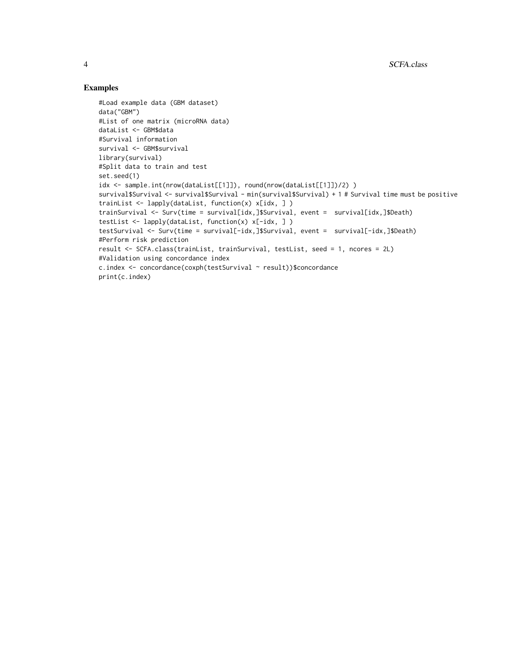## Examples

```
#Load example data (GBM dataset)
data("GBM")
#List of one matrix (microRNA data)
dataList <- GBM$data
#Survival information
survival <- GBM$survival
library(survival)
#Split data to train and test
set.seed(1)
idx <- sample.int(nrow(dataList[[1]]), round(nrow(dataList[[1]])/2) )
survival$Survival <- survival$Survival - min(survival$Survival) + 1 # Survival time must be positive
trainList <- lapply(dataList, function(x) x[idx, ] )
trainSurvival <- Surv(time = survival[idx,]$Survival, event = survival[idx,]$Death)
testList <- lapply(dataList, function(x) x[-idx, ] )
testSurvival <- Surv(time = survival[-idx,]$Survival, event = survival[-idx,]$Death)
#Perform risk prediction
result <- SCFA.class(trainList, trainSurvival, testList, seed = 1, ncores = 2L)
#Validation using concordance index
c.index <- concordance(coxph(testSurvival ~ result))$concordance
print(c.index)
```